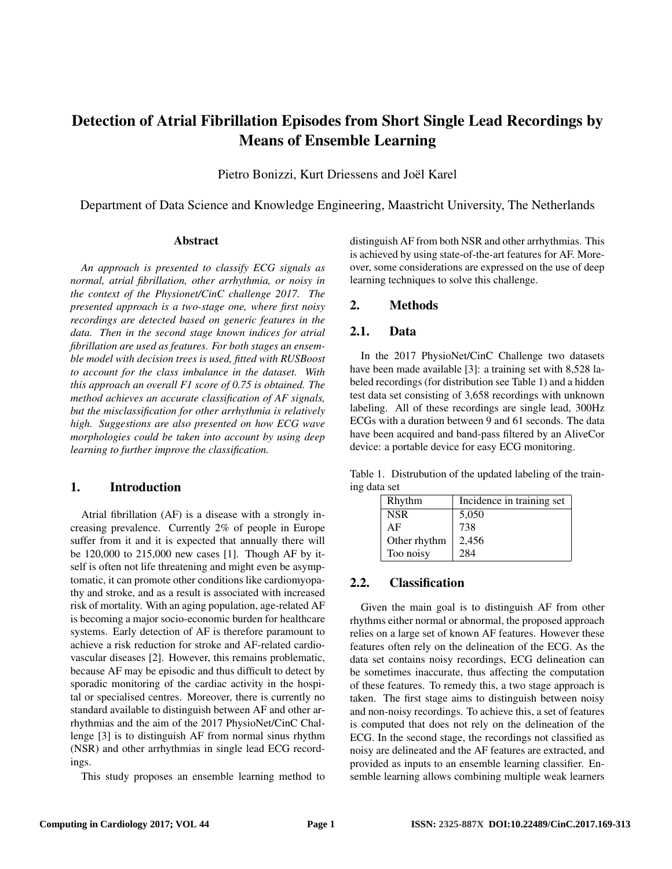# Detection of Atrial Fibrillation Episodes from Short Single Lead Recordings by Means of Ensemble Learning

Pietro Bonizzi, Kurt Driessens and Joël Karel

Department of Data Science and Knowledge Engineering, Maastricht University, The Netherlands

#### Abstract

*An approach is presented to classify ECG signals as normal, atrial fibrillation, other arrhythmia, or noisy in the context of the Physionet/CinC challenge 2017. The presented approach is a two-stage one, where first noisy recordings are detected based on generic features in the data. Then in the second stage known indices for atrial fibrillation are used as features. For both stages an ensemble model with decision trees is used, fitted with RUSBoost to account for the class imbalance in the dataset. With this approach an overall F1 score of 0.75 is obtained. The method achieves an accurate classification of AF signals, but the misclassification for other arrhythmia is relatively high. Suggestions are also presented on how ECG wave morphologies could be taken into account by using deep learning to further improve the classification.*

### 1. Introduction

Atrial fibrillation (AF) is a disease with a strongly increasing prevalence. Currently 2% of people in Europe suffer from it and it is expected that annually there will be 120,000 to 215,000 new cases [1]. Though AF by itself is often not life threatening and might even be asymptomatic, it can promote other conditions like cardiomyopathy and stroke, and as a result is associated with increased risk of mortality. With an aging population, age-related AF is becoming a major socio-economic burden for healthcare systems. Early detection of AF is therefore paramount to achieve a risk reduction for stroke and AF-related cardiovascular diseases [2]. However, this remains problematic, because AF may be episodic and thus difficult to detect by sporadic monitoring of the cardiac activity in the hospital or specialised centres. Moreover, there is currently no standard available to distinguish between AF and other arrhythmias and the aim of the 2017 PhysioNet/CinC Challenge [3] is to distinguish AF from normal sinus rhythm (NSR) and other arrhythmias in single lead ECG recordings.

This study proposes an ensemble learning method to

distinguish AF from both NSR and other arrhythmias. This is achieved by using state-of-the-art features for AF. Moreover, some considerations are expressed on the use of deep learning techniques to solve this challenge.

## 2. Methods

## 2.1. Data

In the 2017 PhysioNet/CinC Challenge two datasets have been made available [3]: a training set with 8,528 labeled recordings (for distribution see Table 1) and a hidden test data set consisting of 3,658 recordings with unknown labeling. All of these recordings are single lead, 300Hz ECGs with a duration between 9 and 61 seconds. The data have been acquired and band-pass filtered by an AliveCor device: a portable device for easy ECG monitoring.

Table 1. Distrubution of the updated labeling of the training data set

| Rhythm       | Incidence in training set |
|--------------|---------------------------|
| <b>NSR</b>   | 5,050                     |
| AF           | 738                       |
| Other rhythm | 2,456                     |
| Too noisy    | 284                       |

## 2.2. Classification

Given the main goal is to distinguish AF from other rhythms either normal or abnormal, the proposed approach relies on a large set of known AF features. However these features often rely on the delineation of the ECG. As the data set contains noisy recordings, ECG delineation can be sometimes inaccurate, thus affecting the computation of these features. To remedy this, a two stage approach is taken. The first stage aims to distinguish between noisy and non-noisy recordings. To achieve this, a set of features is computed that does not rely on the delineation of the ECG. In the second stage, the recordings not classified as noisy are delineated and the AF features are extracted, and provided as inputs to an ensemble learning classifier. Ensemble learning allows combining multiple weak learners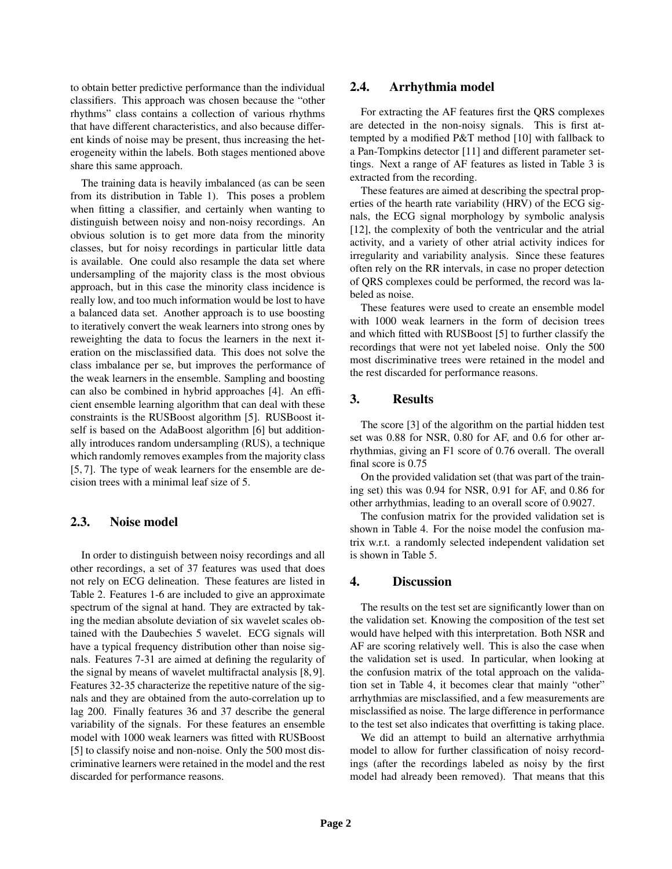to obtain better predictive performance than the individual classifiers. This approach was chosen because the "other rhythms" class contains a collection of various rhythms that have different characteristics, and also because different kinds of noise may be present, thus increasing the heterogeneity within the labels. Both stages mentioned above share this same approach.

The training data is heavily imbalanced (as can be seen from its distribution in Table 1). This poses a problem when fitting a classifier, and certainly when wanting to distinguish between noisy and non-noisy recordings. An obvious solution is to get more data from the minority classes, but for noisy recordings in particular little data is available. One could also resample the data set where undersampling of the majority class is the most obvious approach, but in this case the minority class incidence is really low, and too much information would be lost to have a balanced data set. Another approach is to use boosting to iteratively convert the weak learners into strong ones by reweighting the data to focus the learners in the next iteration on the misclassified data. This does not solve the class imbalance per se, but improves the performance of the weak learners in the ensemble. Sampling and boosting can also be combined in hybrid approaches [4]. An efficient ensemble learning algorithm that can deal with these constraints is the RUSBoost algorithm [5]. RUSBoost itself is based on the AdaBoost algorithm [6] but additionally introduces random undersampling (RUS), a technique which randomly removes examples from the majority class [5, 7]. The type of weak learners for the ensemble are decision trees with a minimal leaf size of 5.

## 2.3. Noise model

In order to distinguish between noisy recordings and all other recordings, a set of 37 features was used that does not rely on ECG delineation. These features are listed in Table 2. Features 1-6 are included to give an approximate spectrum of the signal at hand. They are extracted by taking the median absolute deviation of six wavelet scales obtained with the Daubechies 5 wavelet. ECG signals will have a typical frequency distribution other than noise signals. Features 7-31 are aimed at defining the regularity of the signal by means of wavelet multifractal analysis [8, 9]. Features 32-35 characterize the repetitive nature of the signals and they are obtained from the auto-correlation up to lag 200. Finally features 36 and 37 describe the general variability of the signals. For these features an ensemble model with 1000 weak learners was fitted with RUSBoost [5] to classify noise and non-noise. Only the 500 most discriminative learners were retained in the model and the rest discarded for performance reasons.

#### 2.4. Arrhythmia model

For extracting the AF features first the QRS complexes are detected in the non-noisy signals. This is first attempted by a modified P&T method [10] with fallback to a Pan-Tompkins detector [11] and different parameter settings. Next a range of AF features as listed in Table 3 is extracted from the recording.

These features are aimed at describing the spectral properties of the hearth rate variability (HRV) of the ECG signals, the ECG signal morphology by symbolic analysis [12], the complexity of both the ventricular and the atrial activity, and a variety of other atrial activity indices for irregularity and variability analysis. Since these features often rely on the RR intervals, in case no proper detection of QRS complexes could be performed, the record was labeled as noise.

These features were used to create an ensemble model with 1000 weak learners in the form of decision trees and which fitted with RUSBoost [5] to further classify the recordings that were not yet labeled noise. Only the 500 most discriminative trees were retained in the model and the rest discarded for performance reasons.

#### 3. Results

The score [3] of the algorithm on the partial hidden test set was 0.88 for NSR, 0.80 for AF, and 0.6 for other arrhythmias, giving an F1 score of 0.76 overall. The overall final score is 0.75

On the provided validation set (that was part of the training set) this was 0.94 for NSR, 0.91 for AF, and 0.86 for other arrhythmias, leading to an overall score of 0.9027.

The confusion matrix for the provided validation set is shown in Table 4. For the noise model the confusion matrix w.r.t. a randomly selected independent validation set is shown in Table 5.

#### 4. Discussion

The results on the test set are significantly lower than on the validation set. Knowing the composition of the test set would have helped with this interpretation. Both NSR and AF are scoring relatively well. This is also the case when the validation set is used. In particular, when looking at the confusion matrix of the total approach on the validation set in Table 4, it becomes clear that mainly "other" arrhythmias are misclassified, and a few measurements are misclassified as noise. The large difference in performance to the test set also indicates that overfitting is taking place.

We did an attempt to build an alternative arrhythmia model to allow for further classification of noisy recordings (after the recordings labeled as noisy by the first model had already been removed). That means that this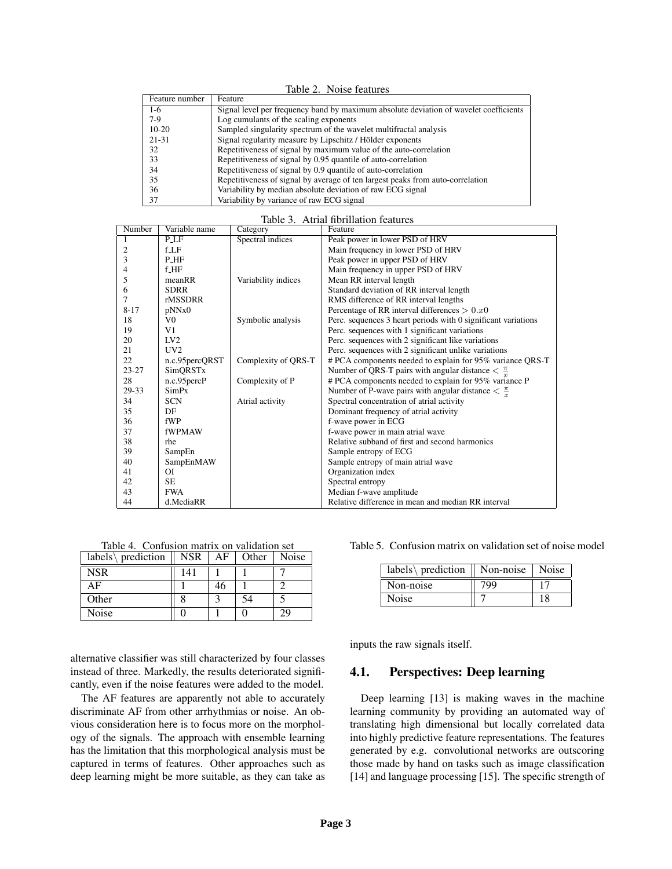| Table 2. Noise features |                                                                                       |  |  |  |  |
|-------------------------|---------------------------------------------------------------------------------------|--|--|--|--|
| Feature number          | Feature                                                                               |  |  |  |  |
| $1-6$                   | Signal level per frequency band by maximum absolute deviation of wavelet coefficients |  |  |  |  |
| $7-9$                   | Log cumulants of the scaling exponents                                                |  |  |  |  |
| $10-20$                 | Sampled singularity spectrum of the wavelet multifractal analysis                     |  |  |  |  |
| $21 - 31$               | Signal regularity measure by Lipschitz / Hölder exponents                             |  |  |  |  |
| 32                      | Repetitiveness of signal by maximum value of the auto-correlation                     |  |  |  |  |
| 33                      | Repetitiveness of signal by 0.95 quantile of auto-correlation                         |  |  |  |  |
| 34                      | Repetitiveness of signal by 0.9 quantile of auto-correlation                          |  |  |  |  |
| 35                      | Repetitiveness of signal by average of ten largest peaks from auto-correlation        |  |  |  |  |
| 36                      | Variability by median absolute deviation of raw ECG signal                            |  |  |  |  |
| 37                      | Variability by variance of raw ECG signal                                             |  |  |  |  |

#### Table 3. Atrial fibrillation features

| Number    | Variable name     | Category            | Feature                                                                     |
|-----------|-------------------|---------------------|-----------------------------------------------------------------------------|
|           | P <sub>LF</sub>   | Spectral indices    | Peak power in lower PSD of HRV                                              |
| 2         | fLF               |                     | Main frequency in lower PSD of HRV                                          |
| 3         | P <sub>-HF</sub>  |                     | Peak power in upper PSD of HRV                                              |
| 4         | $f$ <sub>HF</sub> |                     | Main frequency in upper PSD of HRV                                          |
| 5         | meanRR            | Variability indices | Mean RR interval length                                                     |
| 6         | <b>SDRR</b>       |                     | Standard deviation of RR interval length                                    |
| 7         | rMSSDRR           |                     | RMS difference of RR interval lengths                                       |
| $8 - 17$  | pNNx0             |                     | Percentage of RR interval differences $> 0.x0$                              |
| 18        | V <sub>0</sub>    | Symbolic analysis   | Perc. sequences 3 heart periods with 0 significant variations               |
| 19        | V1                |                     | Perc. sequences with 1 significant variations                               |
| 20        | IV2               |                     | Perc. sequences with 2 significant like variations                          |
| 21        | UV2               |                     | Perc. sequences with 2 significant unlike variations                        |
| 22        | n.c.95percQRST    | Complexity of QRS-T | # PCA components needed to explain for 95% variance QRS-T                   |
| $23 - 27$ | SimQRSTx          |                     | Number of QRS-T pairs with angular distance $\langle \frac{\pi}{2} \rangle$ |
| 28        | n.c.95percP       | Complexity of P     | # PCA components needed to explain for 95% variance P                       |
| 29-33     | SimPx             |                     | Number of P-wave pairs with angular distance $\leq \frac{\pi}{2}$           |
| 34        | <b>SCN</b>        | Atrial activity     | Spectral concentration of atrial activity                                   |
| 35        | DF                |                     | Dominant frequency of atrial activity                                       |
| 36        | fWP               |                     | f-wave power in ECG                                                         |
| 37        | fWPMAW            |                     | f-wave power in main atrial wave                                            |
| 38        | rhe               |                     | Relative subband of first and second harmonics                              |
| 39        | SampEn            |                     | Sample entropy of ECG                                                       |
| 40        | SampEnMAW         |                     | Sample entropy of main atrial wave                                          |
| 41        | <b>OI</b>         |                     | Organization index                                                          |
| 42        | <b>SE</b>         |                     | Spectral entropy                                                            |
| 43        | <b>FWA</b>        |                     | Median f-wave amplitude                                                     |
| 44        | d.MediaRR         |                     | Relative difference in mean and median RR interval                          |

Table 4. Confusion matrix on validation set

| labels\ prediction $\parallel$ | <b>NSR</b> | AF | Other | Noise |
|--------------------------------|------------|----|-------|-------|
| <b>NSR</b>                     | 141        |    |       |       |
| ΑF                             |            | 46 |       |       |
| Other                          |            |    | 54    |       |
| Noise                          |            |    |       | 29    |

alternative classifier was still characterized by four classes instead of three. Markedly, the results deteriorated significantly, even if the noise features were added to the model.

The AF features are apparently not able to accurately discriminate AF from other arrhythmias or noise. An obvious consideration here is to focus more on the morphology of the signals. The approach with ensemble learning has the limitation that this morphological analysis must be captured in terms of features. Other approaches such as deep learning might be more suitable, as they can take as

Table 5. Confusion matrix on validation set of noise model

| labels\ prediction $\parallel$ Non-noise $\parallel$ Noise |     |  |
|------------------------------------------------------------|-----|--|
| Non-noise                                                  | 799 |  |
| Noise                                                      |     |  |

inputs the raw signals itself.

## 4.1. Perspectives: Deep learning

Deep learning [13] is making waves in the machine learning community by providing an automated way of translating high dimensional but locally correlated data into highly predictive feature representations. The features generated by e.g. convolutional networks are outscoring those made by hand on tasks such as image classification [14] and language processing [15]. The specific strength of